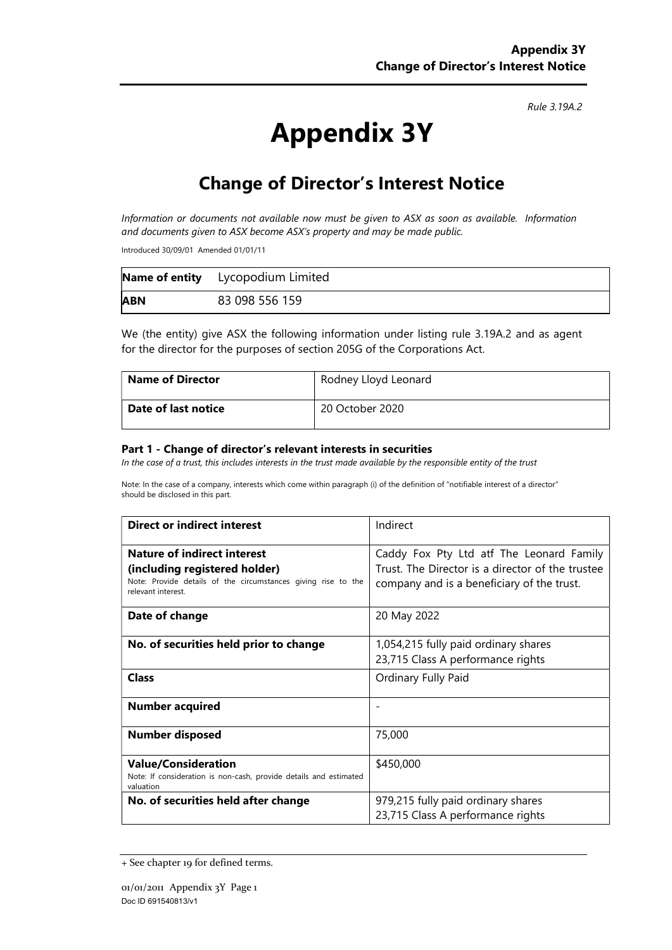Rule 3.19A.2

# Appendix 3Y

# Change of Director's Interest Notice

Information or documents not available now must be given to ASX as soon as available. Information and documents given to ASX become ASX's property and may be made public.

Introduced 30/09/01 Amended 01/01/11

|            | Name of entity Lycopodium Limited |
|------------|-----------------------------------|
| <b>ABN</b> | 83 098 556 159                    |

We (the entity) give ASX the following information under listing rule 3.19A.2 and as agent for the director for the purposes of section 205G of the Corporations Act.

| <b>Name of Director</b> | Rodney Lloyd Leonard |
|-------------------------|----------------------|
| Date of last notice     | 20 October 2020      |

#### Part 1 - Change of director's relevant interests in securities

In the case of a trust, this includes interests in the trust made available by the responsible entity of the trust

Note: In the case of a company, interests which come within paragraph (i) of the definition of "notifiable interest of a director" should be disclosed in this part.

| <b>Direct or indirect interest</b>                                                                                                                         | Indirect                                                                                                                                   |  |
|------------------------------------------------------------------------------------------------------------------------------------------------------------|--------------------------------------------------------------------------------------------------------------------------------------------|--|
| <b>Nature of indirect interest</b><br>(including registered holder)<br>Note: Provide details of the circumstances giving rise to the<br>relevant interest. | Caddy Fox Pty Ltd atf The Leonard Family<br>Trust. The Director is a director of the trustee<br>company and is a beneficiary of the trust. |  |
| Date of change                                                                                                                                             | 20 May 2022                                                                                                                                |  |
| No. of securities held prior to change                                                                                                                     | 1,054,215 fully paid ordinary shares<br>23,715 Class A performance rights                                                                  |  |
| <b>Class</b>                                                                                                                                               | Ordinary Fully Paid                                                                                                                        |  |
| <b>Number acquired</b>                                                                                                                                     |                                                                                                                                            |  |
| <b>Number disposed</b>                                                                                                                                     | 75,000                                                                                                                                     |  |
| <b>Value/Consideration</b><br>Note: If consideration is non-cash, provide details and estimated<br>valuation                                               | \$450,000                                                                                                                                  |  |
| No. of securities held after change                                                                                                                        | 979,215 fully paid ordinary shares<br>23,715 Class A performance rights                                                                    |  |

<sup>+</sup> See chapter 19 for defined terms.